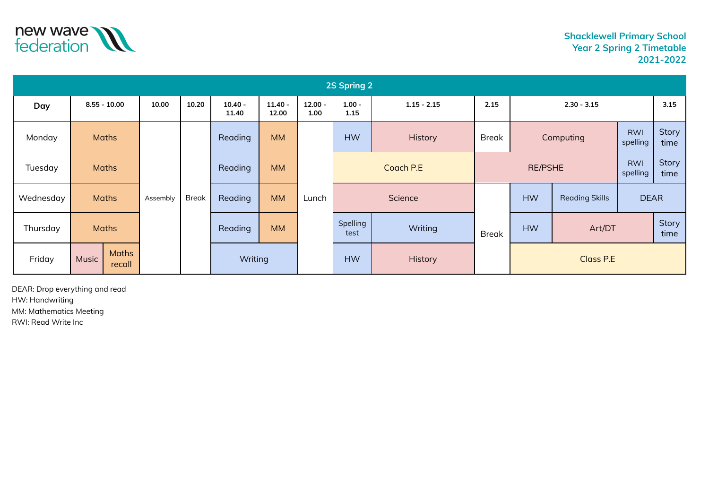

| 2S Spring 2 |                                 |                |          |              |                    |                    |                   |                                   |                |                  |           |                        |                        |               |
|-------------|---------------------------------|----------------|----------|--------------|--------------------|--------------------|-------------------|-----------------------------------|----------------|------------------|-----------|------------------------|------------------------|---------------|
| Day         |                                 | $8.55 - 10.00$ | 10.00    | 10.20        | $10.40 -$<br>11.40 | $11.40 -$<br>12.00 | $12.00 -$<br>1.00 | $1.00 -$<br>$1.15 - 2.15$<br>1.15 |                | 2.15             |           | $2.30 - 3.15$          |                        | 3.15          |
| Monday      |                                 | <b>Maths</b>   |          |              | Reading            | <b>MM</b>          |                   | <b>HW</b>                         | <b>History</b> | <b>Break</b>     |           | Computing              | <b>RWI</b><br>spelling | Story<br>time |
| Tuesday     | <b>Maths</b>                    |                |          |              | Reading            | <b>MM</b>          | Lunch             | Coach P.E                         |                | <b>RE/PSHE</b>   |           | <b>RWI</b><br>spelling | Story<br>time          |               |
| Wednesday   | <b>Maths</b>                    |                | Assembly | <b>Break</b> | Reading            | <b>MM</b>          |                   | Science                           |                |                  | <b>HW</b> | <b>Reading Skills</b>  | <b>DEAR</b>            |               |
| Thursday    | <b>Maths</b>                    |                |          |              | Reading            | <b>MM</b>          |                   | Spelling<br>test                  | Writing        | <b>Break</b>     | <b>HW</b> | Art/DT                 |                        | Story<br>time |
| Friday      | <b>Maths</b><br>Music<br>recall |                |          | Writing      |                    |                    | <b>HW</b>         | History                           |                | <b>Class P.E</b> |           |                        |                        |               |

DEAR: Drop everything and read HW: Handwriting MM: Mathematics Meeting RWI: Read Write Inc